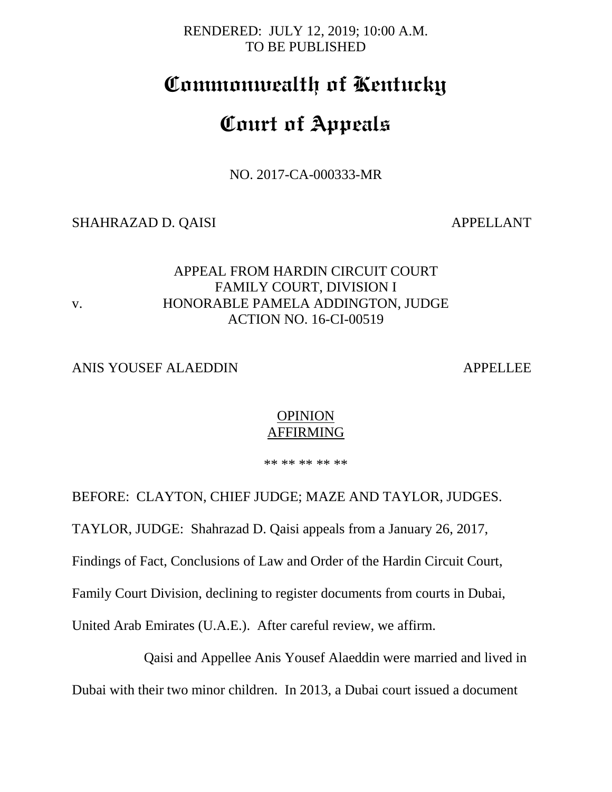RENDERED: JULY 12, 2019; 10:00 A.M. TO BE PUBLISHED

## **Commonwealth of Kentucky**

# **Court of Appeals**

NO. 2017-CA-000333-MR

SHAHRAZAD D. QAISI APPELLANT

#### APPEAL FROM HARDIN CIRCUIT COURT FAMILY COURT, DIVISION I v. HONORABLE PAMELA ADDINGTON, JUDGE ACTION NO. 16-CI-00519

#### ANIS YOUSEF ALAEDDIN APPELLEE

#### **OPINION** AFFIRMING

\*\* \*\* \*\* \*\* \*\*

BEFORE: CLAYTON, CHIEF JUDGE; MAZE AND TAYLOR, JUDGES. TAYLOR, JUDGE: Shahrazad D. Qaisi appeals from a January 26, 2017, Findings of Fact, Conclusions of Law and Order of the Hardin Circuit Court, Family Court Division, declining to register documents from courts in Dubai, United Arab Emirates (U.A.E.). After careful review, we affirm.

Qaisi and Appellee Anis Yousef Alaeddin were married and lived in Dubai with their two minor children. In 2013, a Dubai court issued a document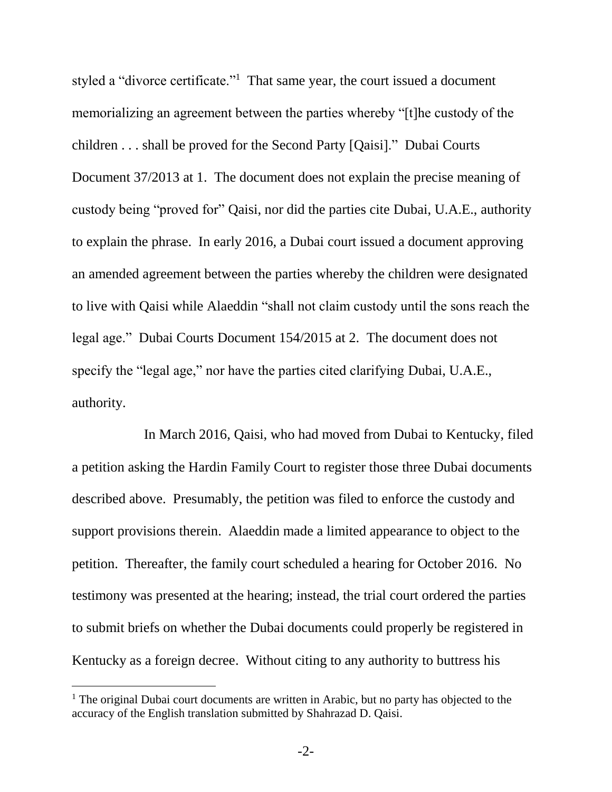styled a "divorce certificate."<sup>1</sup> That same year, the court issued a document memorializing an agreement between the parties whereby "[t]he custody of the children . . . shall be proved for the Second Party [Qaisi]." Dubai Courts Document 37/2013 at 1. The document does not explain the precise meaning of custody being "proved for" Qaisi, nor did the parties cite Dubai, U.A.E., authority to explain the phrase. In early 2016, a Dubai court issued a document approving an amended agreement between the parties whereby the children were designated to live with Qaisi while Alaeddin "shall not claim custody until the sons reach the legal age." Dubai Courts Document 154/2015 at 2. The document does not specify the "legal age," nor have the parties cited clarifying Dubai, U.A.E., authority.

In March 2016, Qaisi, who had moved from Dubai to Kentucky, filed a petition asking the Hardin Family Court to register those three Dubai documents described above. Presumably, the petition was filed to enforce the custody and support provisions therein. Alaeddin made a limited appearance to object to the petition. Thereafter, the family court scheduled a hearing for October 2016. No testimony was presented at the hearing; instead, the trial court ordered the parties to submit briefs on whether the Dubai documents could properly be registered in Kentucky as a foreign decree. Without citing to any authority to buttress his

 $\overline{a}$ 

 $<sup>1</sup>$  The original Dubai court documents are written in Arabic, but no party has objected to the</sup> accuracy of the English translation submitted by Shahrazad D. Qaisi.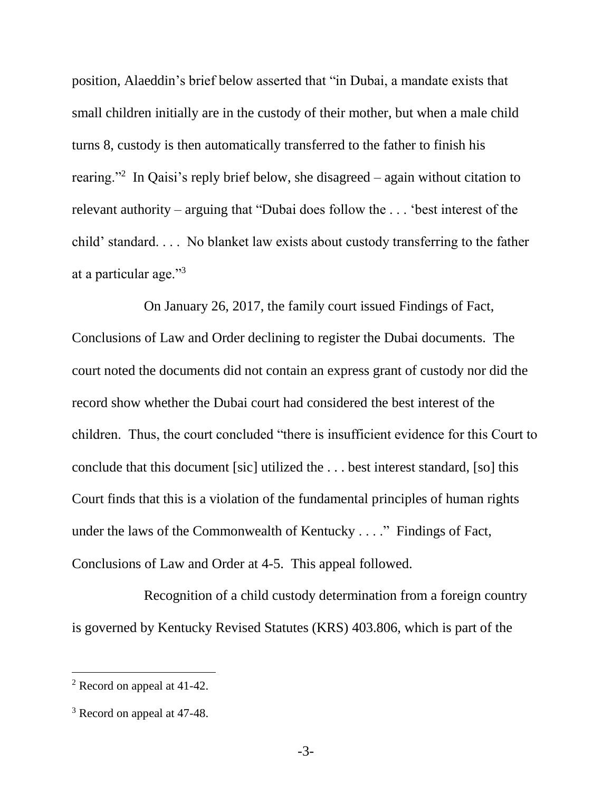position, Alaeddin's brief below asserted that "in Dubai, a mandate exists that small children initially are in the custody of their mother, but when a male child turns 8, custody is then automatically transferred to the father to finish his rearing."<sup>2</sup> In Qaisi's reply brief below, she disagreed – again without citation to relevant authority – arguing that "Dubai does follow the . . . 'best interest of the child' standard. . . . No blanket law exists about custody transferring to the father at a particular age."<sup>3</sup>

On January 26, 2017, the family court issued Findings of Fact, Conclusions of Law and Order declining to register the Dubai documents. The court noted the documents did not contain an express grant of custody nor did the record show whether the Dubai court had considered the best interest of the children. Thus, the court concluded "there is insufficient evidence for this Court to conclude that this document [sic] utilized the . . . best interest standard, [so] this Court finds that this is a violation of the fundamental principles of human rights under the laws of the Commonwealth of Kentucky . . . ." Findings of Fact, Conclusions of Law and Order at 4-5. This appeal followed.

Recognition of a child custody determination from a foreign country is governed by Kentucky Revised Statutes (KRS) 403.806, which is part of the

l

<sup>2</sup> Record on appeal at 41-42.

<sup>&</sup>lt;sup>3</sup> Record on appeal at 47-48.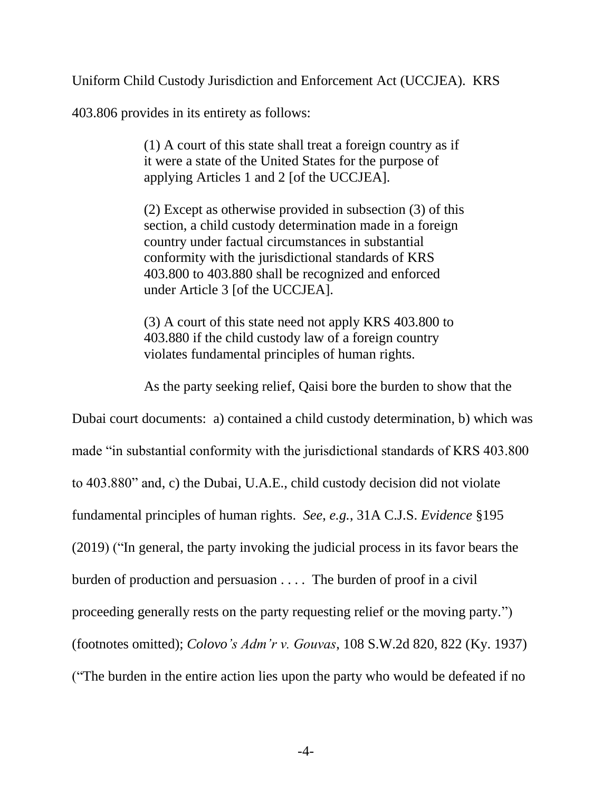Uniform Child Custody Jurisdiction and Enforcement Act (UCCJEA). KRS

403.806 provides in its entirety as follows:

(1) A court of this state shall treat a foreign country as if it were a state of the United States for the purpose of applying Articles 1 and 2 [of the UCCJEA].

(2) Except as otherwise provided in subsection (3) of this section, a child custody determination made in a foreign country under factual circumstances in substantial conformity with the jurisdictional standards of KRS 403.800 to 403.880 shall be recognized and enforced under Article 3 [of the UCCJEA].

(3) A court of this state need not apply KRS 403.800 to 403.880 if the child custody law of a foreign country violates fundamental principles of human rights.

As the party seeking relief, Qaisi bore the burden to show that the

Dubai court documents: a) contained a child custody determination, b) which was made "in substantial conformity with the jurisdictional standards of KRS 403.800 to 403.880" and, c) the Dubai, U.A.E., child custody decision did not violate fundamental principles of human rights. *See*, *e.g.*, 31A C.J.S. *Evidence* §195 (2019) ("In general, the party invoking the judicial process in its favor bears the burden of production and persuasion . . . . The burden of proof in a civil proceeding generally rests on the party requesting relief or the moving party.") (footnotes omitted); *Colovo's Adm'r v. Gouvas*, 108 S.W.2d 820, 822 (Ky. 1937) ("The burden in the entire action lies upon the party who would be defeated if no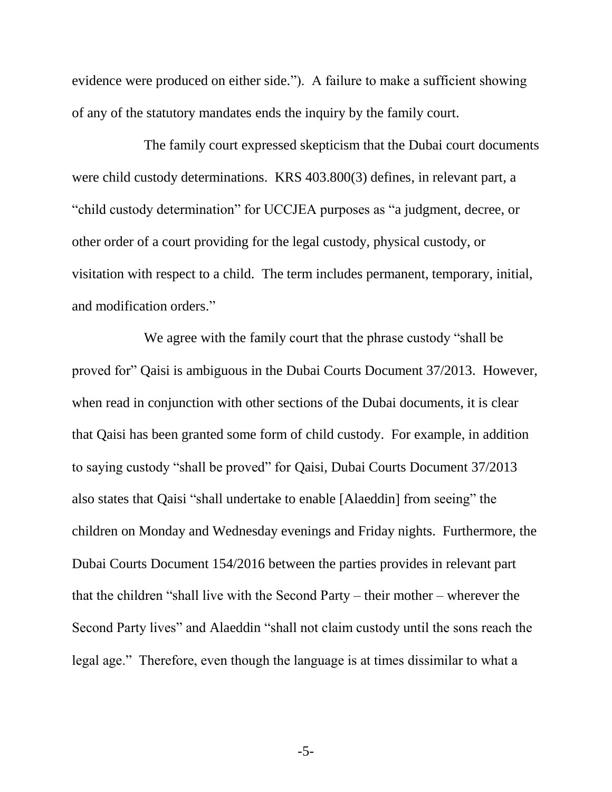evidence were produced on either side."). A failure to make a sufficient showing of any of the statutory mandates ends the inquiry by the family court.

The family court expressed skepticism that the Dubai court documents were child custody determinations. KRS 403.800(3) defines, in relevant part, a "child custody determination" for UCCJEA purposes as "a judgment, decree, or other order of a court providing for the legal custody, physical custody, or visitation with respect to a child. The term includes permanent, temporary, initial, and modification orders."

We agree with the family court that the phrase custody "shall be proved for" Qaisi is ambiguous in the Dubai Courts Document 37/2013. However, when read in conjunction with other sections of the Dubai documents, it is clear that Qaisi has been granted some form of child custody. For example, in addition to saying custody "shall be proved" for Qaisi, Dubai Courts Document 37/2013 also states that Qaisi "shall undertake to enable [Alaeddin] from seeing" the children on Monday and Wednesday evenings and Friday nights. Furthermore, the Dubai Courts Document 154/2016 between the parties provides in relevant part that the children "shall live with the Second Party – their mother – wherever the Second Party lives" and Alaeddin "shall not claim custody until the sons reach the legal age." Therefore, even though the language is at times dissimilar to what a

-5-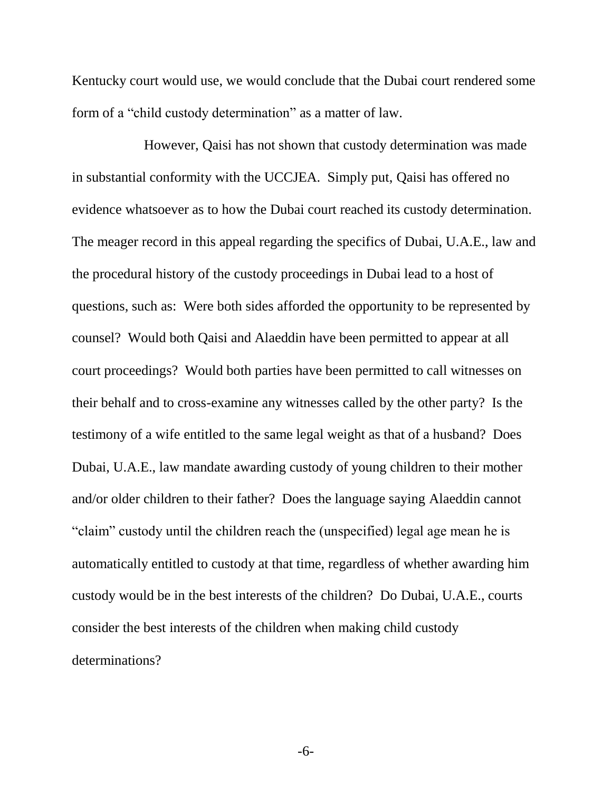Kentucky court would use, we would conclude that the Dubai court rendered some form of a "child custody determination" as a matter of law.

However, Qaisi has not shown that custody determination was made in substantial conformity with the UCCJEA. Simply put, Qaisi has offered no evidence whatsoever as to how the Dubai court reached its custody determination. The meager record in this appeal regarding the specifics of Dubai, U.A.E., law and the procedural history of the custody proceedings in Dubai lead to a host of questions, such as: Were both sides afforded the opportunity to be represented by counsel? Would both Qaisi and Alaeddin have been permitted to appear at all court proceedings? Would both parties have been permitted to call witnesses on their behalf and to cross-examine any witnesses called by the other party? Is the testimony of a wife entitled to the same legal weight as that of a husband? Does Dubai, U.A.E., law mandate awarding custody of young children to their mother and/or older children to their father? Does the language saying Alaeddin cannot "claim" custody until the children reach the (unspecified) legal age mean he is automatically entitled to custody at that time, regardless of whether awarding him custody would be in the best interests of the children? Do Dubai, U.A.E., courts consider the best interests of the children when making child custody determinations?

-6-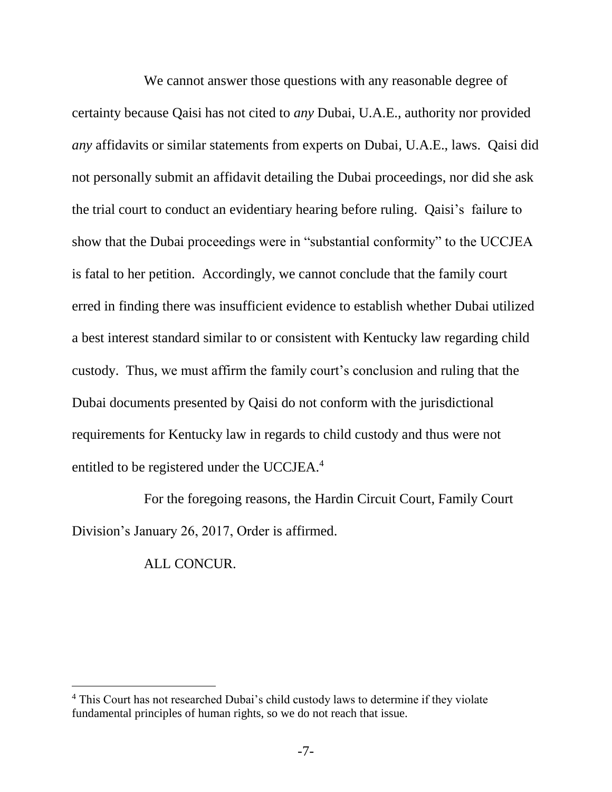We cannot answer those questions with any reasonable degree of certainty because Qaisi has not cited to *any* Dubai, U.A.E., authority nor provided *any* affidavits or similar statements from experts on Dubai, U.A.E., laws. Qaisi did not personally submit an affidavit detailing the Dubai proceedings, nor did she ask the trial court to conduct an evidentiary hearing before ruling. Qaisi's failure to show that the Dubai proceedings were in "substantial conformity" to the UCCJEA is fatal to her petition. Accordingly, we cannot conclude that the family court erred in finding there was insufficient evidence to establish whether Dubai utilized a best interest standard similar to or consistent with Kentucky law regarding child custody. Thus, we must affirm the family court's conclusion and ruling that the Dubai documents presented by Qaisi do not conform with the jurisdictional requirements for Kentucky law in regards to child custody and thus were not entitled to be registered under the UCCJEA.<sup>4</sup>

For the foregoing reasons, the Hardin Circuit Court, Family Court Division's January 26, 2017, Order is affirmed.

ALL CONCUR.

 $\overline{a}$ 

<sup>&</sup>lt;sup>4</sup> This Court has not researched Dubai's child custody laws to determine if they violate fundamental principles of human rights, so we do not reach that issue.